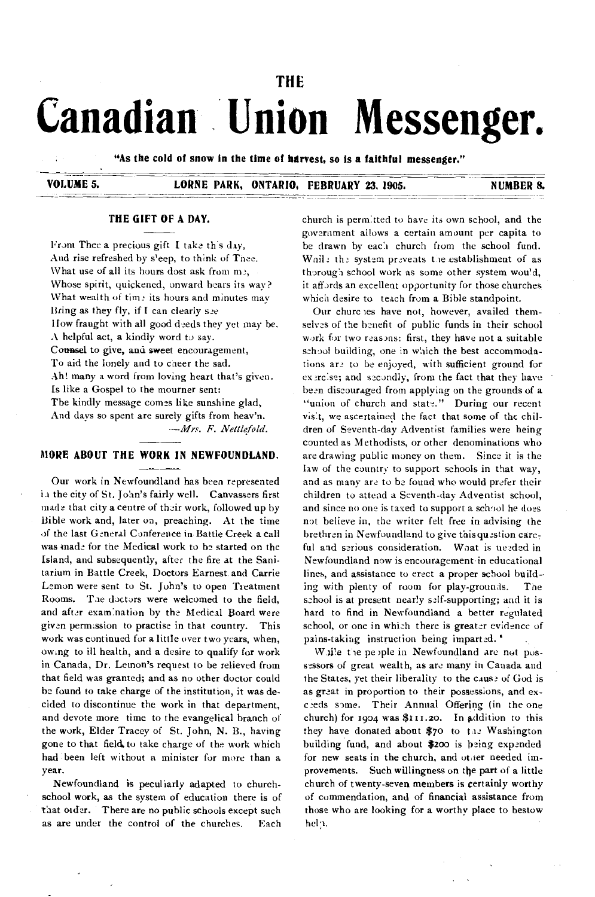# **THE Canadian Union Messenger.**

**"As the cold of snow in the time of harvest, so is a faithful messenger."** 

**VOLUME 5. LORNE PARK, ONTARIO, FEBRUARY 23, 1905. NUMBER 8. NUMBER 8.** 

# **THE GIFT OF A DAY.**

From Thee a precious gift I take this day, And rise refreshed by s'eep, to think of Tnee. What use of all its hours dost ask from me, Whose spirit, quickened, onward bears its way? What wealth of time its hours and minutes may Bring as they fly, if I can clearly *see*  How fraught with all good deeds they yet may be. A helpful act, a kindly word to say. Counsel to give, and sweet encouragement, To aid the lonely and to caeer the sad. Ah! many a word from loving heart that's given. Is like a Gospel to the mourner sent: The kindly message comes like sunshine glad, And days so spent are surely gifts from heav'n.

*—Mrs. F. Nettlefold.* 

#### **MORE ABOUT THE WORK IN NEWFOUNDLAND.**

Our work in Newfoundland has been represented in the city of St. John's fairly well. Canvassers first made that city a centre of their work, followed up by Bible work and, later on, preaching. At the time of the last General Conference in Battle Creek a call was made for the Medical work to be started on the Island, and subsequently, after the fire at the Sanitarium in Battle Creek, Doctors Earnest and Carrie Lemon were sent to St. John's to open Treatment Rooms. The doctors were welcomed to the field, and after exam:nation by the Medical Board were given permission to practise in that country. This work was continued for a little over two years, when, owing to ill health, and a desire to qualify for work in Canada, Dr. Lemon's request to be relieved from that field was granted; and as no other doctor could be found to take charge of the institution, it was decided to discontinue the work in that department, and devote more time to the evangelical branch of the work, Elder Tracey of St. John, N. B., having gone to that field to take charge of the work which had been left without a minister for more than a year.

Newfoundland is peculiarly adapted to churchschool work, as the system of education there is of that order. There are no public schools except such as are under the control of the churches. Each

church is permitted to have its own school, and the government allows a certain amount per capita to be drawn by each church from the school fund. Wail: th: system prevents the establishment of as thorough school work as some other system wou'd, it affords an excellent opportunity for those churches which desire to teach from a Bible standpoint.

Our churc les have not, however, availed themselves of *the* benefit of public funds in their school work for two reasons: first, they have not a suitable school building, one in which the best accommodations are to be enjoyed, with sufficient ground for ex erclise; and secondly, from the fact that they have been discouraged from applying on the grounds of a "union of church and state." During our recent visit, we ascertained the fact that some of the children of Seventh-day Adventist families were being counted as Methodists, or other denominations who are drawing public money on them. Since it is the law of the country to support schools in that way, and as many are to be found who would prefer their children to attend a Seventh-day Adventist school, and since no one is taxed to support a school he dues not believe in, the writer felt free in advising the brethren in Newfoundland to give this question careful and serious consideration. What is needed in Newfoundland now is encouragement in educational lines, and assistance to erect a proper school build ing with plenty of room for play-grounds. The school is at present nearly self-supporting; and it is hard to find in Newfoundland a better regulated school, or one in which there is greater evidence of pains-taking instruction being imparted. '

While the people in Newfoundland are not possessors of great wealth, as are many in Canada and the States, yet their liberality to the cause of God is as great in proportion to their possessions, and exceeds some. Their Annual Offering (in the one church) for 1904 was  $$111.20$ . In addition to this they have donated about \$70 to the Washington building fund, and about \$200 is being expended for new seats in the church, and other needed improvements. Such willingness on the part of a little church of twenty-seven members is certainly worthy of commendation, and of financial assistance from those who are looking for a worthy place to bestow help.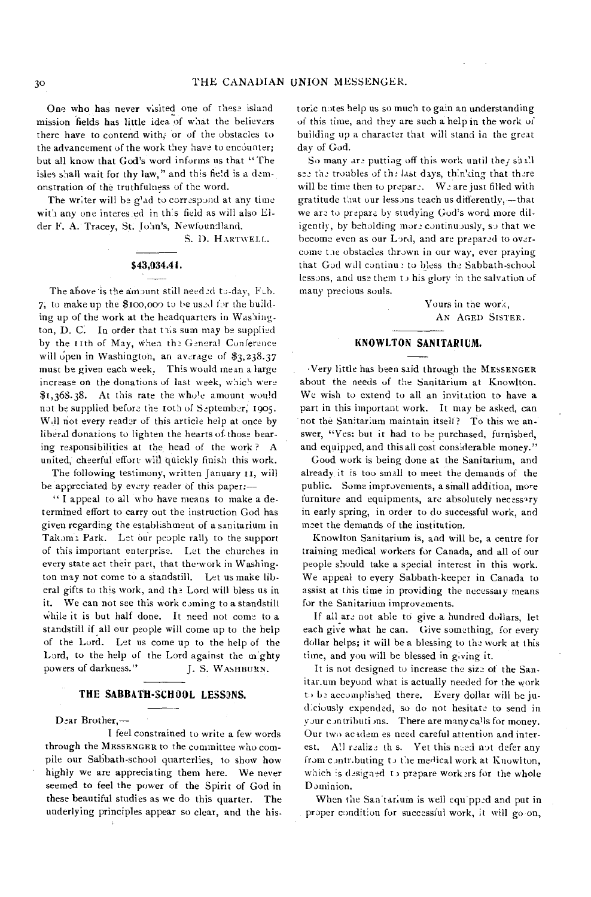One who has never visited one of these island mission fields has little idea of what the believers there have to contend with; or of the obstacles to the advancement of the work they have to encounter; but all know that God's word informs us that "The isles shall wait for thy law," and this field is a demonstration of the truthfulness of the word.

The writer will be g'ad to correspond at any time with any one interes.ed in th's field as will also Elder F. A. Tracey, St. John's, Newfoundland.

S. D. HARTWELL.

#### **\$43,034A** *I .*

The above is the amount still needed to-day, Fcb. 7, to make up the \$100,000 to be used for the building up of the work at the headquarters in Washington, D. C. In order that this sum may be supplied by the IIth of May, when the General Conference will open in Washington, an average of  $\S$ 3,238.37 must be given each week. This would mean a large increase on the donations of last week, which were \$1,368.38. At this rate the whole amount would not be supplied before the loth of September; 1905. Wdl not every reader of this article help at once by liberal donations to lighten the hearts of. those bearing responsibilities at the head of the work ? A united, cheerful effort will quickly finish this work.

The following testimony, written January 11, will be appreciated by every reader of this paper:—

" I appeal to all who have means to make a determined effort to carry out the instruction God has given regarding the establishment of a sanitarium in Takoma Park. Let our people rally to the support of this important enterprise. Let the churches in every state act their part, that the work in Washington may not come to a standstill. Let us make liberal gifts to this work, and the Lord will bless us in it. We can not see this work coming to a standstill While it is but half done. It need not come to a standstill if all our people will come up to the help of the Lord. Let us come up to the help of the Lord, to the help of the Lord against the m:ghty powers of darkness." J. S. WASHBURN.

### **THE SABBATH•SCHOOL LESSONS.**

Dear Brother,—

I feel constrained to write a few words through the MESSENGER to the committee who compile our Sabbath-school quarterlies, to show how highly we are appreciating them here. We never seemed to feel the power of the Spirit of God in these beautiful studies as we do this quarter. The underlying principles appear so clear, and the historic notes help us so much to gain an understanding of this time, and they are such a help in the work of building up a character that will stand in the great day of God.

So many are putting off this work until they shall see the troubles of the last days, thinking that there will be time then to prepare. We are just filled with gratitude that our lessons teach us differently,-that we are to prepare by studying God's word more diligently, by beholding more continuously, so that we become even as our Lord, and are prepared to overcome Lae obstacles thrown in our way, ever praying that God will continue to bless the Sabbath-school lessons, and use them  $t$  is glory in the salvation of many precious souls.

> Yours in the work, AN AGED SISTER.

#### **KNOWLTON SANITARIUM.**

Very little has been said through the MESSENGER about the needs of the Sanitarium at Knowlton. We wish to extend to all an invitation to have a part in this important work. It may be asked, can not the Sanitarium maintain itself? To this we answer, "Yes: but it had to he purchased, furnished, and equipped, and this all cost considerable money."

Good work is being done at the Sanitarium, and already, it is too small to meet the demands of the public. Some improvements, a small addition, more furniture and equipments, are absolutely necessary in early spring, in order to do successful work, and meet the demands of the institution.

Knowlton Sanitarium is, and will be, a centre for training medical workers for Canada, and all of our people should take a special interest in this work. We appeal to eyery Sabbath-keeper in Canada to assist at this time in providing the necessary means for the Sanitarium improvements.

If all are not able to give a hundred dollars, let each give what he can. Give something, for every dollar helps; it will be a blessing to the work at this time, and you will be blessed in giving it.

It is not designed to increase the size of the Sanitar.um beyond what is actually needed for the work to be accomplished there. Every dollar will be judiciously expended, so do not hesitate to send in your contributions. There are many calls for money. Our two academ es need careful attention and interest. All realize th s. Yet this need not defer any from c ontr.buting to the medical work at Knowlton, which is designed to prepare workers for the whole Dominion.

When the San tarium is well equ pped and put in proper condition for successful work, it will go on,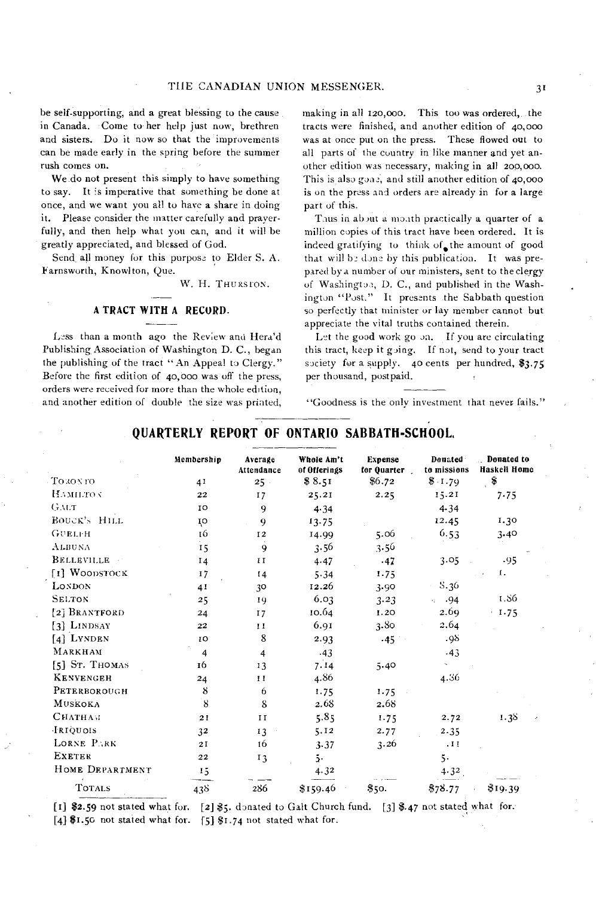be self-supporting, and a great blessing to the cause in Canada. Come to her help just now, brethren and sisters. Do it now so that the improvements can be made early in the spring before the summer rush comes on.

We do not present this simply to have something to say. It is imperative that something be done at once, and we want you all to have a share in doing it. Please consider the matter carefully and prayerfully, and then help what you can, and it will be greatly appreciated, and blessed of God.

Send all money for this purpose to Elder S. A. Farnsworth, Knowlton, Que.

W. H. THURSTON.

#### **A TRACT WITH A RECORD.**

Less than a month ago the Review and Hera'd Publishing Association of Washington D. C., began the publishing of the tract "An Appeal to Clergy." Before the first edition of 40,000 was off the press, orders were received for more than the whole edition, and another edition of double the size was printed, making in all 120,000. This too was ordered, the tracts were finished, and another edition of 40,000 was at once put on the press. These flowed out to all parts of the country in like manner and yet another edition was necessary, making in all 200,000. This is also gone, and still another edition of 40,000 is on the press and orders are already in for a large part of this.

Thus in about a month practically a quarter of a million copies of this tract have been ordered. It is indeed gratifying to think of the amount of good that will be done by this publication. It was prepared by a number of our ministers, sent to the clergy of Washington, D. C., and published in the Washington "Post." It presents the Sabbath question so perfectly that minister or lay member cannot but appreciate the vital truths contained therein.

Let the good work go on. If you are circulating this tract, keep it going. If not, send to your tract society for a supply. 40 cents per hundred, \$3.75 per thousand, postpaid.

"Goodness is the only investment that never fails."

# **QUARTERLY REPORT OF ONTARIO SABBATH-SCHOOL,**

|                  | Membership              | Average<br>Attendance | Whole Am't<br>of Offerings | Expense<br>for Quarter | Donated<br>to missions | Donated to<br>Haskell Home |
|------------------|-------------------------|-----------------------|----------------------------|------------------------|------------------------|----------------------------|
| TO 30N TO        | 41                      | $25 -$                | \$8.51                     | \$6.72                 | \$1.79                 | \$                         |
| HAMILTON         | 22                      | 17                    | 25.21                      | 2.25                   | 15.21                  | 7.75                       |
| GMLT             | IO                      | 9                     | 4.34                       |                        | 4.34                   |                            |
| BOUCK'S HILL     | ŢO                      | 9                     | 13.75                      |                        | 12.45                  | 1.30                       |
| <b>GUELFH</b>    | 16                      | 12                    | 14.99                      | 5.06                   | 6.53                   | 3.40                       |
| ALBUNA           | 15                      | 9                     | 3.56                       | 3.56                   |                        |                            |
| BELLEVILLE       | 14                      | H                     | 4.47                       | .47                    | 3.05                   | .95                        |
| [1] WOODSTOCK    | 17                      | I <sub>4</sub>        | 5.34                       | 1.75                   |                        | 1.                         |
| LONDON           | 41                      | 30                    | 12.26                      | 3.90                   | $3.36\,$               |                            |
| <b>SELTON</b>    | 25                      | 19                    | 6.03                       | 3.23                   | $\cdot$ .94            | 1.86                       |
| [2] BRANTFORD    | 24                      | 17                    | 10.64                      | 1.20                   | 2.69                   | $-1.75$                    |
| [3] LINDSAY      | 22                      | $\mathbf{H}$          | 6.91                       | 3.80                   | 2.64                   |                            |
| [4] LYNDEN       | 10                      | 8                     | 2.93                       | .45                    | .98                    |                            |
| MARKHAM          | $\overline{\mathbf{4}}$ | $\overline{4}$        | .43                        |                        | .43                    |                            |
| $[5]$ St. Thomas | 16                      | 13                    | 7.14                       | 5.40                   |                        |                            |
| <b>KENVENGEH</b> | 24                      | $\bf{11}$             | 4.86                       |                        | 4.36                   |                            |
| PETERBOROUGH     | 8                       | 6                     | 1.75                       | 1.75                   |                        |                            |
| <b>MUSKOKA</b>   | 8                       | 8                     | 2.68                       | 2.68                   |                        |                            |
| Снатнам          | 21                      | II                    | 5.85                       | 1.75                   | 2.72                   | 1.38                       |
| IRIQUOIS         | 32                      | 13                    | 5.12                       | 2.77                   | 2.35                   |                            |
| LORNE PARK       | 2I                      | 16                    | 3.37                       | 3.26                   | .11                    |                            |
| <b>EXETER</b>    | 22                      | 13                    | 5.                         |                        | 5.                     |                            |
| HOME DEPARTMENT  | 15                      |                       | 4.32                       |                        | 4.32                   |                            |
| <b>TOTALS</b>    | 438                     | 286                   | \$159.46                   | \$50.                  | \$78.77                | \$19.39                    |

[I] \$2.59 not stated what for. [2] \$5. donated to Galt Church fund. [31 \$.47 not stated what for. [4]  $I.56$  not stated what for. [5]  $I.74$  not stated what for.